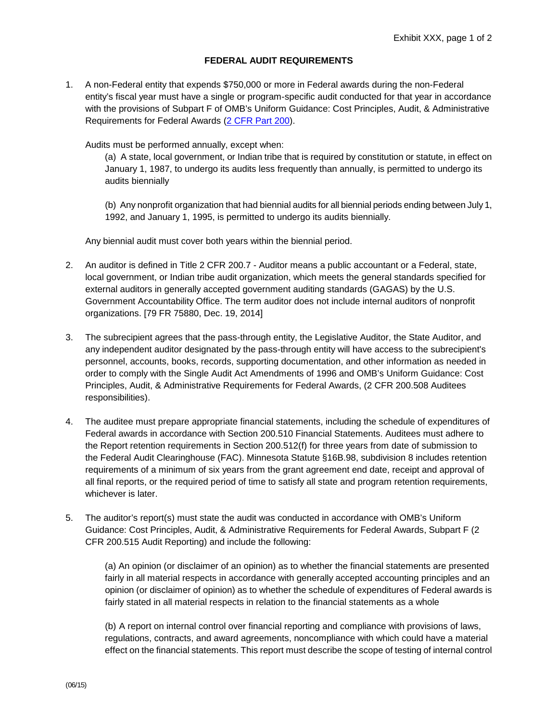## **FEDERAL AUDIT REQUIREMENTS**

1. A non-Federal entity that expends \$750,000 or more in Federal awards during the non-Federal entity's fiscal year must have a single or program-specific audit conducted for that year in accordance with the provisions of Subpart F of OMB's Uniform Guidance: Cost Principles, Audit, & Administrative Requirements for Federal Awards [\(2 CFR Part 200\)](http://www.ecfr.gov/cgi-bin/text-idx?SID=6214841a79953f26c5c230d72d6b70a1&tpl=/ecfrbrowse/Title02/2cfr200_main_02.tpl).

Audits must be performed annually, except when:

(a) A state, local government, or Indian tribe that is required by constitution or statute, in effect on January 1, 1987, to undergo its audits less frequently than annually, is permitted to undergo its audits biennially

(b) Any nonprofit organization that had biennial audits for all biennial periods ending between July 1, 1992, and January 1, 1995, is permitted to undergo its audits biennially.

Any biennial audit must cover both years within the biennial period.

- 2. An auditor is defined in Title 2 CFR 200.7 Auditor means a public accountant or a Federal, state, local government, or Indian tribe audit organization, which meets the general standards specified for external auditors in generally accepted government auditing standards (GAGAS) by the U.S. Government Accountability Office. The term auditor does not include internal auditors of nonprofit organizations. [79 FR 75880, Dec. 19, 2014]
- 3. The subrecipient agrees that the pass-through entity, the Legislative Auditor, the State Auditor, and any independent auditor designated by the pass-through entity will have access to the subrecipient's personnel, accounts, books, records, supporting documentation, and other information as needed in order to comply with the Single Audit Act Amendments of 1996 and OMB's Uniform Guidance: Cost Principles, Audit, & Administrative Requirements for Federal Awards, (2 CFR 200.508 Auditees responsibilities).
- 4. The auditee must prepare appropriate financial statements, including the schedule of expenditures of Federal awards in accordance with Section 200.510 Financial Statements. Auditees must adhere to the Report retention requirements in Section 200.512(f) for three years from date of submission to the Federal Audit Clearinghouse (FAC). Minnesota Statute §16B.98, subdivision 8 includes retention requirements of a minimum of six years from the grant agreement end date, receipt and approval of all final reports, or the required period of time to satisfy all state and program retention requirements, whichever is later.
- 5. The auditor's report(s) must state the audit was conducted in accordance with OMB's Uniform Guidance: Cost Principles, Audit, & Administrative Requirements for Federal Awards, Subpart F (2 CFR 200.515 Audit Reporting) and include the following:

(a) An opinion (or disclaimer of an opinion) as to whether the financial statements are presented fairly in all material respects in accordance with generally accepted accounting principles and an opinion (or disclaimer of opinion) as to whether the schedule of expenditures of Federal awards is fairly stated in all material respects in relation to the financial statements as a whole

(b) A report on internal control over financial reporting and compliance with provisions of laws, regulations, contracts, and award agreements, noncompliance with which could have a material effect on the financial statements. This report must describe the scope of testing of internal control